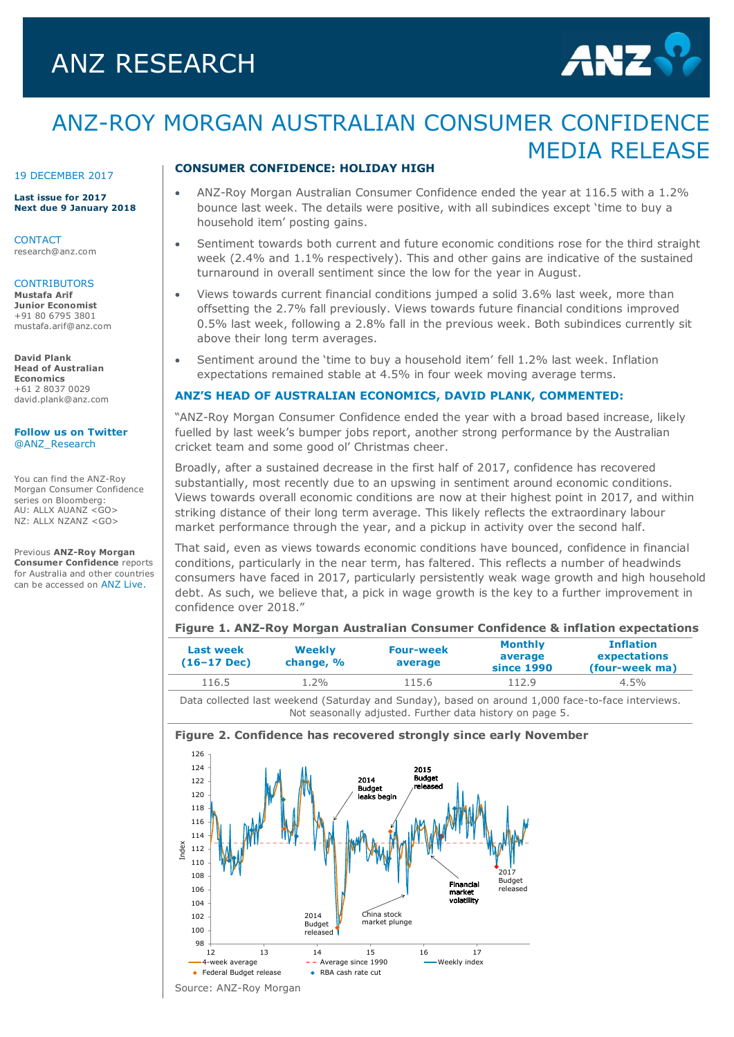# ANZ RESEARCH



# ANZ-ROY MORGAN AUSTRALIAN CONSUMER CONFIDENCE MEDIA RELEASE

#### 19 DECEMBER 2017

**Last issue for 2017 Next due 9 January 2018**

**CONTACT** research@anz.com

#### **CONTRIBUTORS Mustafa Arif**

**Junior Economist** +91 80 6795 3801 mustafa.arif@anz.com

**David Plank Head of Australian Economics** +61 2 8037 0029 [david.plank@anz.com](mailto:david.plank@anz.com)

**[Follow us on Twitter](http://twitter.com/ANZ_Research)** [@ANZ\\_Research](http://twitter.com/ANZ_Research)

You can find the ANZ-Roy Morgan Consumer Confidence series on Bloomberg: AU: ALLX AUANZ <GO> NZ: ALLX NZANZ <GO>

Previous **ANZ-Roy Morgan Consumer Confidence** reports for Australia and other countries can be accessed on [ANZ Live.](https://anzlive.secure.force.com/cms__Main?name=Publications&tags=Publications%2FANZ-Roy+Morgan+Consumer+Confidence)

## **CONSUMER CONFIDENCE: HOLIDAY HIGH**

- ANZ-Roy Morgan Australian Consumer Confidence ended the year at 116.5 with a 1.2% bounce last week. The details were positive, with all subindices except 'time to buy a household item' posting gains.
- Sentiment towards both current and future economic conditions rose for the third straight week (2.4% and 1.1% respectively). This and other gains are indicative of the sustained turnaround in overall sentiment since the low for the year in August.
- Views towards current financial conditions jumped a solid 3.6% last week, more than offsetting the 2.7% fall previously. Views towards future financial conditions improved 0.5% last week, following a 2.8% fall in the previous week. Both subindices currently sit above their long term averages.
- Sentiment around the 'time to buy a household item' fell 1.2% last week. Inflation expectations remained stable at 4.5% in four week moving average terms.

#### **ANZ'S HEAD OF AUSTRALIAN ECONOMICS, DAVID PLANK, COMMENTED:**

"ANZ-Roy Morgan Consumer Confidence ended the year with a broad based increase, likely fuelled by last week's bumper jobs report, another strong performance by the Australian cricket team and some good ol' Christmas cheer.

Broadly, after a sustained decrease in the first half of 2017, confidence has recovered substantially, most recently due to an upswing in sentiment around economic conditions. Views towards overall economic conditions are now at their highest point in 2017, and within striking distance of their long term average. This likely reflects the extraordinary labour market performance through the year, and a pickup in activity over the second half.

That said, even as views towards economic conditions have bounced, confidence in financial conditions, particularly in the near term, has faltered. This reflects a number of headwinds consumers have faced in 2017, particularly persistently weak wage growth and high household debt. As such, we believe that, a pick in wage growth is the key to a further improvement in confidence over 2018."

## **Figure 1. ANZ-Roy Morgan Australian Consumer Confidence & inflation expectations**

| Last week<br>$(16-17 \text{ Dec})$ | Weekly<br>change, % | <b>Four-week</b><br>average | <b>Monthly</b><br>average<br>since 1990 | <b>Inflation</b><br>expectations<br>(four-week ma) |  |
|------------------------------------|---------------------|-----------------------------|-----------------------------------------|----------------------------------------------------|--|
| 116.5                              | $.2\%$              | 115.6                       | 112.9                                   | $4.5\%$                                            |  |

Data collected last weekend (Saturday and Sunday), based on around 1,000 face-to-face interviews. Not seasonally adjusted. Further data history on page 5.

#### **Figure 2. Confidence has recovered strongly since early November**

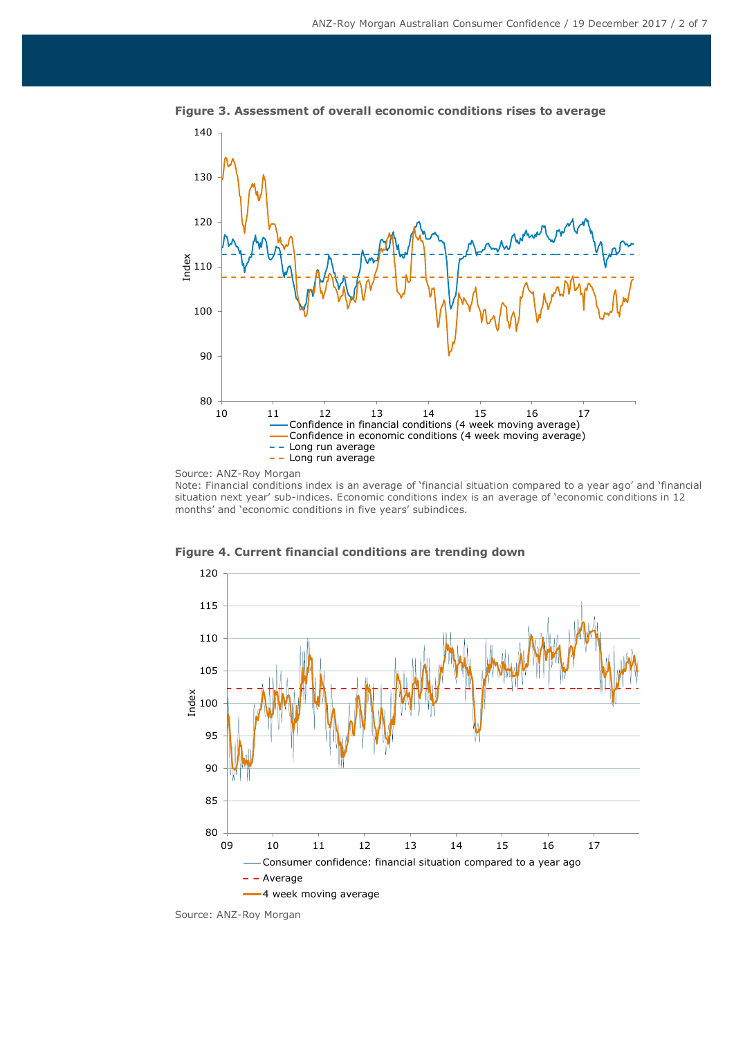

**Figure 3. Assessment of overall economic conditions rises to average**

Source: ANZ-Roy Morgan

Note: Financial conditions index is an average of 'financial situation compared to a year ago' and 'financial situation next year' sub-indices. Economic conditions index is an average of 'economic conditions in 12 months' and 'economic conditions in five years' subindices.



**Figure 4. Current financial conditions are trending down**

Source: ANZ-Roy Morgan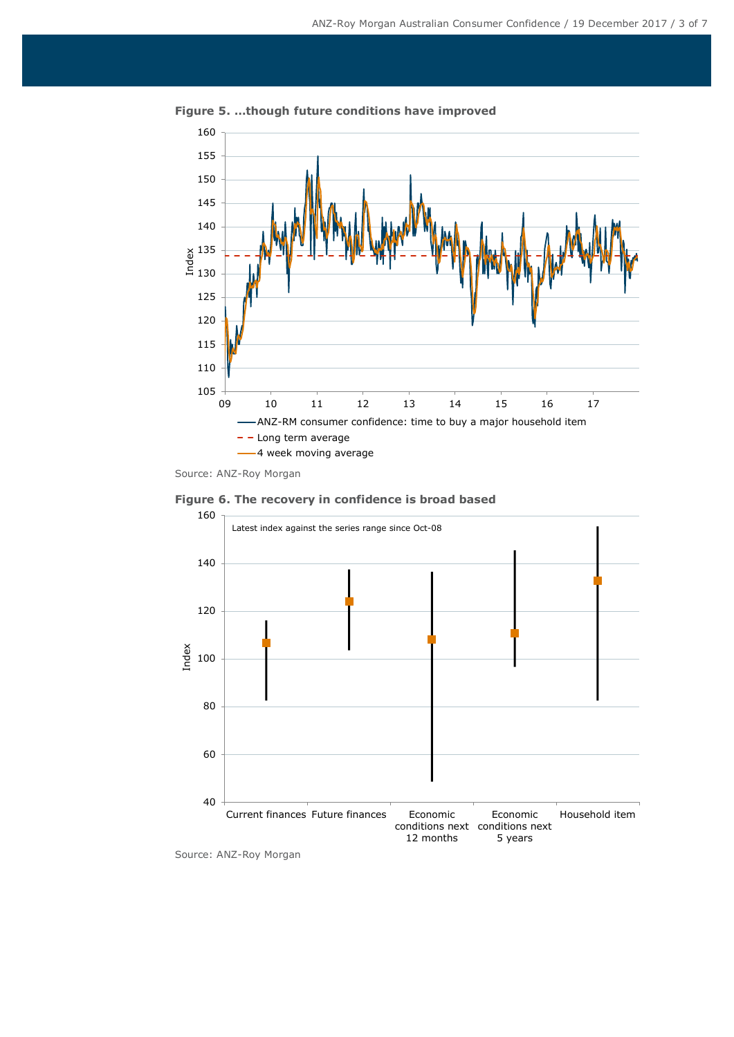

**Figure 5. …though future conditions have improved**

**Figure 6. The recovery in confidence is broad based**



Source: ANZ-Roy Morgan

Source: ANZ-Roy Morgan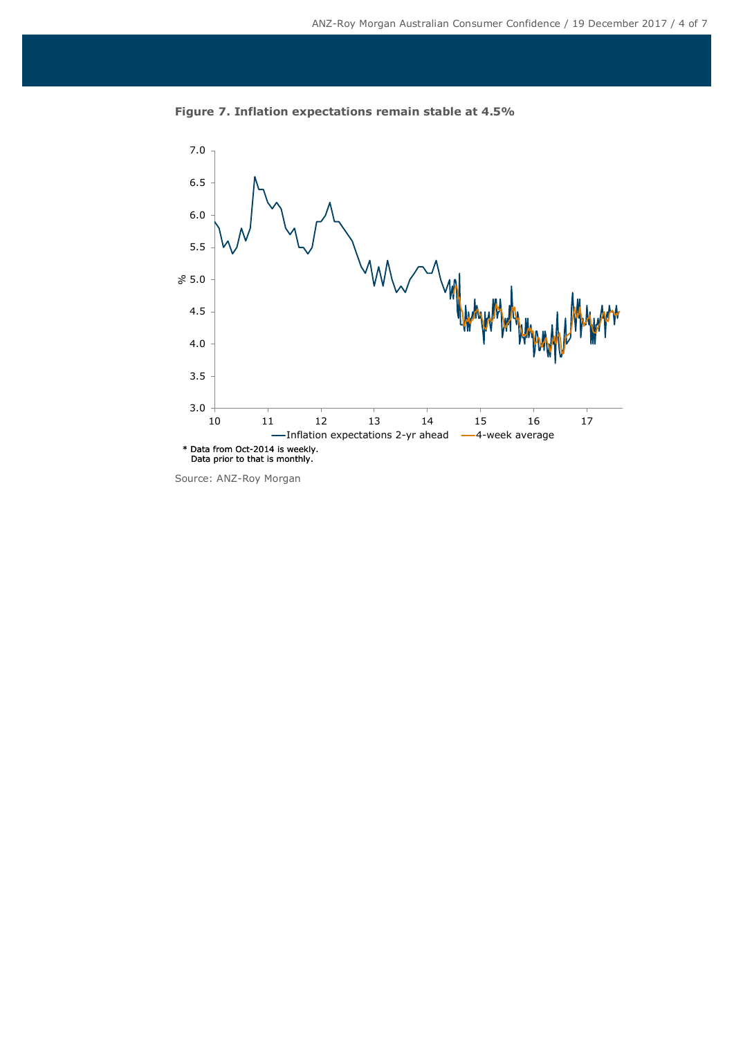

**Figure 7. Inflation expectations remain stable at 4.5%**

Source: ANZ-Roy Morgan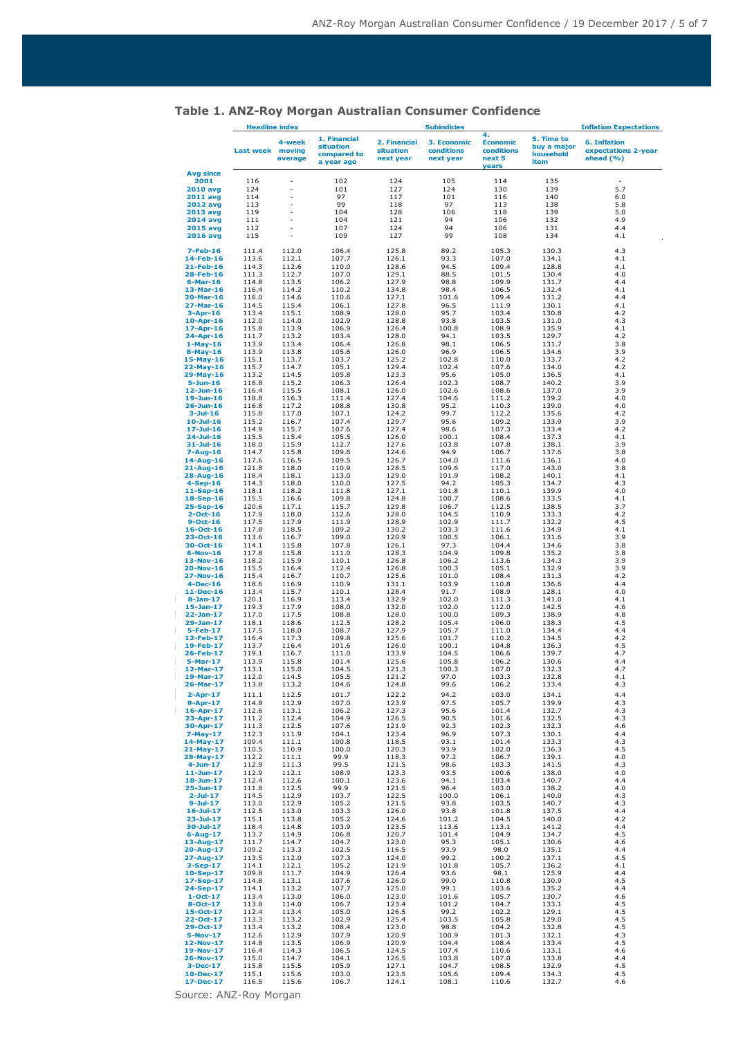|                              | <b>Headline index</b> |                             |                                                        | <b>Subindicies</b>                     |                                        |                                                        | <b>Inflation Expectations</b>                  |                                                         |  |
|------------------------------|-----------------------|-----------------------------|--------------------------------------------------------|----------------------------------------|----------------------------------------|--------------------------------------------------------|------------------------------------------------|---------------------------------------------------------|--|
|                              | <b>Last week</b>      | 4-week<br>moving<br>average | 1. Financial<br>situation<br>compared to<br>a year ago | 2. Financial<br>situation<br>next year | 3. Economic<br>conditions<br>next year | 4.<br><b>Economic</b><br>conditions<br>next 5<br>years | 5. Time to<br>buy a major<br>household<br>item | <b>6. Inflation</b><br>expectations 2-year<br>ahead (%) |  |
| <b>Avg since</b><br>2001     | 116                   |                             | 102                                                    | 124                                    | 105                                    | 114                                                    | 135                                            |                                                         |  |
| <b>2010 avg</b>              | 124                   |                             | 101                                                    | 127                                    | 124                                    | 130                                                    | 139                                            | 5.7                                                     |  |
| <b>2011 avg</b>              | 114                   |                             | 97                                                     | 117                                    | 101                                    | 116                                                    | 140                                            | 6.0                                                     |  |
| <b>2012 avg</b>              | 113                   |                             | 99                                                     | 118                                    | 97                                     | 113                                                    | 138                                            | 5.8                                                     |  |
| 2013 avg                     | 119                   |                             | 104                                                    | 128                                    | 106                                    | 118                                                    | 139                                            | 5.0                                                     |  |
| <b>2014 avg</b>              | 111                   |                             | 104                                                    | 121                                    | 94                                     | 106                                                    | 132                                            | 4.9                                                     |  |
| 2015 avg                     | 112                   |                             | 107                                                    | 124                                    | 94                                     | 106                                                    | 131                                            | 4.4                                                     |  |
| 2016 avg                     | 115                   |                             | 109                                                    | 127                                    | 99                                     | 108                                                    | 134                                            | 4.1                                                     |  |
| $7 - Feb - 16$               | 111.4                 | 112.0                       | 106.4                                                  | 125.8                                  | 89.2                                   | 105.3                                                  | 130.3                                          | 4.3                                                     |  |
| 14-Feb-16                    | 113.6                 | 112.1                       | 107.7                                                  | 126.1                                  | 93.3                                   | 107.0                                                  | 134.1                                          | 4.1                                                     |  |
| 21-Feb-16                    | 114.3                 | 112.6                       | 110.0                                                  | 128.6                                  | 94.5                                   | 109.4                                                  | 128.8                                          | 4.1                                                     |  |
| 28-Feb-16                    | 111.3                 | 112.7                       | 107.0                                                  | 129.1                                  | 88.5                                   | 101.5                                                  | 130.4                                          | 4.0                                                     |  |
| $6$ -Mar-16                  | 114.8                 | 113.5                       | 106.2                                                  | 127.9                                  | 98.8                                   | 109.9                                                  | 131.7                                          | 4.4                                                     |  |
| $13-Mar-16$                  | 116.4                 | 114.2                       | 110.2                                                  | 134.8                                  | 98.4                                   | 106.5                                                  | 132.4                                          | 4.1                                                     |  |
| $20$ -Mar-16                 | 116.0                 | 114.6                       | 110.6                                                  | 127.1                                  | 101.6                                  | 109.4                                                  | 131.2                                          | 4.4                                                     |  |
| 27-Mar-16                    | 114.5                 | 115.4                       | 106.1                                                  | 127.8                                  | 96.5                                   | 111.9                                                  | 130.1                                          | 4.1                                                     |  |
| $3 - Apr - 16$               | 113.4                 | 115.1                       | 108.9                                                  | 128.0                                  | 95.7                                   | 103.4                                                  | 130.8                                          | 4.2                                                     |  |
| $10$ -Apr-16                 | 112.0                 | 114.0                       | 102.9                                                  | 128.8                                  | 93.8                                   | 103.5                                                  | 131.0                                          | 4.3                                                     |  |
| 17-Apr-16                    | 115.8                 | 113.9                       | 106.9                                                  | 126.4                                  | 100.8                                  | 108.9                                                  | 135.9                                          | 4.1                                                     |  |
| 24-Apr-16                    | 111.7                 | 113.2                       | 103.4                                                  | 128.0                                  | 94.1                                   | 103.5                                                  | 129.7                                          | 4.2                                                     |  |
| $1-May-16$                   | 113.9                 | 113.4                       | 106.4                                                  | 126.8                                  | 98.1                                   | 106.5                                                  | 131.7                                          | 3.8                                                     |  |
| $8-May-16$                   | 113.9                 | 113.8                       | 105.6                                                  | 126.0                                  | 96.9                                   | 106.5                                                  | 134.6                                          | 3.9                                                     |  |
| 15-May-16                    | 115.1                 | 113.7                       | 103.7                                                  | 125.2                                  | 102.8                                  | 110.0                                                  | 133.7                                          | 4.2                                                     |  |
| 22-May-16                    | 115.7                 | 114.7                       | 105.1                                                  | 129.4                                  | 102.4                                  | 107.6                                                  | 134.0                                          | 4.2                                                     |  |
| 29-May-16                    | 113.2                 | 114.5                       | 105.8                                                  | 123.3                                  | 95.6                                   | 105.0                                                  | 136.5                                          | 4.1                                                     |  |
| $5 - Jun-16$                 | 116.8                 | 115.2                       | 106.3                                                  | 126.4                                  | 102.3                                  | 108.7                                                  | 140.2                                          | 3.9                                                     |  |
| $12$ -Jun-16                 | 116.4                 | 115.5                       | 108.1                                                  | 126.0                                  | 102.6                                  | 108.6                                                  | 137.0                                          | 3.9                                                     |  |
| $19 - Jun-16$                | 118.8                 | 116.3                       | 111.4                                                  | 127.4<br>130.8                         | 104.6                                  | 111.2                                                  | 139.2                                          | 4.0<br>4.0                                              |  |
| 26-Jun-16<br>$3 -$ Jul $-16$ | 116.8<br>115.8        | 117.2<br>117.0              | 108.8<br>107.1                                         | 124.2                                  | 95.2<br>99.7                           | 110.3<br>112.2                                         | 139.0<br>135.6                                 | 4.2                                                     |  |
| $10 -$ Jul-16                | 115.2                 | 116.7                       | 107.4                                                  | 129.7                                  | 95.6                                   | 109.2                                                  | 133.9                                          | 3.9                                                     |  |
| $17 -$ Jul-16                | 114.9                 | 115.7                       | 107.6                                                  | 127.4                                  | 98.6                                   | 107.3                                                  | 133.4                                          | 4.2                                                     |  |
| $24 -$ Jul-16                | 115.5                 | 115.4                       | 105.5                                                  | 126.0                                  | 100.1                                  | 108.4                                                  | 137.3                                          | 4.1                                                     |  |
| $31 -$ Jul-16                | 118.0                 | 115.9                       | 112.7                                                  | 127.6                                  | 103.8                                  | 107.8                                                  | 138.1                                          | 3.9                                                     |  |
| $7 - Aug-16$                 | 114.7                 | 115.8                       | 109.6                                                  | 124.6                                  | 94.9                                   | 106.7                                                  | 137.6                                          | 3.8                                                     |  |
| 14-Aug-16                    | 117.6                 | 116.5                       | 109.5                                                  | 126.7                                  | 104.0                                  | 111.6                                                  | 136.1                                          | 4.0                                                     |  |
| 21-Aug-16                    | 121.8                 | 118.0                       | 110.9                                                  | 128.5                                  | 109.6                                  | 117.0                                                  | 143.0                                          | 3.8                                                     |  |
| 28-Aug-16                    | 118.4                 | 118.1                       | 113.0                                                  | 129.0                                  | 101.9                                  | 108.2                                                  | 140.1                                          | 4.1                                                     |  |
| $4-Sep-16$                   | 114.3                 | 118.0                       | 110.0                                                  | 127.5                                  | 94.2                                   | 105.3                                                  | 134.7                                          | 4.3                                                     |  |
| $11-Sep-16$                  | 118.1                 | 118.2                       | 111.8                                                  | 127.1                                  | 101.8                                  | 110.1                                                  | 139.9                                          | 4.0                                                     |  |
| 18-Sep-16                    | 115.5                 | 116.6                       | 109.8                                                  | 124.8                                  | 100.7                                  | 108.6                                                  | 133.5                                          | 4.1                                                     |  |
| 25-Sep-16                    | 120.6                 | 117.1                       | 115.7                                                  | 129.8                                  | 106.7                                  | 112.5                                                  | 138.5                                          | 3.7                                                     |  |
| $2 - Oct - 16$               | 117.9                 | 118.0                       | 112.6                                                  | 128.0                                  | 104.5                                  | 110.9                                                  | 133.3                                          | 4.2                                                     |  |
| $9-Oct-16$                   | 117.5                 | 117.9                       | 111.9                                                  | 128.9                                  | 102.9                                  | 111.7                                                  | 132.2                                          | 4.5                                                     |  |
| $16 - Oct - 16$              | 117.8                 | 118.5                       | 109.2                                                  | 130.2                                  | 103.3                                  | 111.6                                                  | 134.9                                          | 4.1                                                     |  |
| 23-Oct-16                    | 113.6                 | 116.7                       | 109.0                                                  | 120.9                                  | 100.5                                  | 106.1                                                  | 131.6                                          | 3.9                                                     |  |
| 30-Oct-16                    | 114.1                 | 115.8                       | 107.8                                                  | 126.1                                  | 97.3                                   | 104.4                                                  | 134.6                                          | 3.8                                                     |  |
| $6-Nov-16$                   | 117.8                 | 115.8                       | 111.0                                                  | 128.3                                  | 104.9                                  | 109.8                                                  | 135.2                                          | 3.8                                                     |  |
| 13-Nov-16                    | 118.2                 | 115.9                       | 110.1                                                  | 126.8                                  | 106.2                                  | 113.6                                                  | 134.3                                          | 3.9                                                     |  |
| 20-Nov-16                    | 115.5<br>115.4        | 116.4                       | 112.4<br>110.7                                         | 126.8<br>125.6                         | 100.3                                  | 105.1                                                  | 132.9                                          | 3.9<br>4.2                                              |  |
| 27-Nov-16<br>$4$ -Dec-16     | 118.6                 | 116.7<br>116.9              | 110.9                                                  | 131.1                                  | 101.0<br>103.9                         | 108.4<br>110.8                                         | 131.3<br>136.6                                 | 4.4                                                     |  |
| 11-Dec-16                    | 113.4                 | 115.7                       | 110.1                                                  | 128.4                                  | 91.7                                   | 108.9                                                  | 128.1                                          | 4.0                                                     |  |
| $8-Jan-17$                   | 120.1                 | 116.9                       | 113.4                                                  | 132.9                                  | 102.0                                  | 111.3                                                  | 141.0                                          | 4.1                                                     |  |
| 15-Jan-17                    | 119.3                 | 117.9                       | 108.0                                                  | 132.0                                  | 102.0                                  | 112.0                                                  | 142.5                                          | 4.6                                                     |  |
| 22-Jan-17                    | 117.0                 | 117.5                       | 108.8                                                  | 128.0                                  | 100.0                                  | 109.3                                                  | 138.9                                          | 4.8                                                     |  |
| 29-Jan-17                    | 118.1                 | 118.6                       | 112.5                                                  | 128.2                                  | 105.4                                  | 106.0                                                  | 138.3                                          | 4.5                                                     |  |
| 5-Feb-17                     | 117.5                 | 118.0                       | 108.7                                                  | 127.9                                  | 105.7                                  | 111.0                                                  | 134.4                                          | 4.4                                                     |  |
| 12-Feb-17                    | 116.4                 | 117.3                       | 109.8                                                  | 125.6                                  | 101.7                                  | 110.2                                                  | 134.5                                          | 4.2                                                     |  |
| 19-Feb-17                    | 113.7                 | 116.4                       | 101.6                                                  | 126.0                                  | 100.1                                  | 104.8                                                  | 136.3                                          | 4.5                                                     |  |
| 26-Feb-17                    | 119.1                 | 116.7                       | 111.0                                                  | 133.9                                  | 104.5                                  | 106.6                                                  | 139.7                                          | 4.7                                                     |  |
| 5-Mar-17                     | 113.9                 | 115.8                       | 101.4                                                  | 125.6                                  | 105.8                                  | 106.2                                                  | 130.6                                          | 4.4                                                     |  |
| 12-Mar-17                    | 113.1                 | 115.0                       | 104.5                                                  | 121.3                                  | 100.3                                  | 107.0                                                  | 132.3                                          | 4.7                                                     |  |
| 19-Mar-17                    | 112.0                 | 114.5                       | 105.5                                                  | 121.2                                  | 97.0                                   | 103.3                                                  | 132.8                                          | 4.1                                                     |  |
| 26-Mar-17                    | 113.8                 | 113.2                       | 104.6                                                  | 124.8                                  | 99.6                                   | 106.2                                                  | 133.4                                          | 4.3                                                     |  |
| $2-Apr-17$                   | 111.1                 | 112.5                       | 101.7                                                  | 122.2                                  | 94.2                                   | 103.0                                                  | 134.1                                          | 4.4                                                     |  |
| $9 - Apr - 17$               | 114.8                 | 112.9                       | 107.0                                                  | 123.9                                  | 97.5                                   | 105.7                                                  | 139.9                                          | 4.3                                                     |  |
| $16$ -Apr-17                 | 112.6                 | 113.1                       | 106.2                                                  | 127.3                                  | 95.6                                   | 101.4                                                  | 132.7                                          | 4.3                                                     |  |
| 23-Apr-17                    | 111.2                 | 112.4                       | 104.9                                                  | 126.5                                  | 90.5                                   | 101.6                                                  | 132.5                                          | 4.3                                                     |  |
| 30-Apr-17                    | 111.3                 | 112.5                       | 107.6                                                  | 121.9                                  | 92.3                                   | 102.3                                                  | 132.3                                          | 4.6                                                     |  |
| $7-May-17$                   | 112.3                 | 111.9                       | 104.1                                                  | 123.4                                  | 96.9                                   | 107.3                                                  | 130.1                                          | 4.4                                                     |  |
| 14-May-17                    | 109.4                 | 111.1                       | 100.8                                                  | 118.5                                  | 93.1                                   | 101.4                                                  | 133.3                                          | 4.3                                                     |  |
| 21-May-17                    | 110.5                 | 110.9                       | 100.0                                                  | 120.3                                  | 93.9                                   | 102.0                                                  | 136.3                                          | 4.5                                                     |  |
| 28-May-17                    | 112.2                 | 111.1                       | 99.9                                                   | 118.3                                  | 97.2                                   | 106.7                                                  | 139.1                                          | 4.0                                                     |  |
| $4 - Jun - 17$               | 112.9                 | 111.3                       | 99.5                                                   | 121.5                                  | 98.6                                   | 103.3                                                  | 141.5                                          | 4.3                                                     |  |
| $11$ -Jun-17                 | 112.9                 | 112.1                       | 108.9                                                  | 123.3                                  | 93.5                                   | 100.6                                                  | 138.0                                          | 4.0                                                     |  |
| $18 - Jun-17$<br>25-Jun-17   | 112.4<br>111.8        | 112.6<br>112.5              | 100.1                                                  | 123.6                                  | 94.1                                   | 103.4                                                  | 140.7<br>138.2                                 | 4.4<br>4.0                                              |  |
| $2$ -Jul-17                  | 114.5                 | 112.9                       | 99.9<br>103.7                                          | 121.5<br>122.5                         | 96.4<br>100.0                          | 103.0<br>106.1                                         | 140.0                                          | 4.3                                                     |  |
| $9 -$ Jul-17                 | 113.0                 | 112.9                       | 105.2                                                  | 121.5                                  | 93.8                                   | 103.5                                                  | 140.7                                          | 4.3                                                     |  |
| $16 -$ Jul-17                | 112.5                 | 113.0                       | 103.3                                                  | 126.0                                  | 93.8                                   | 101.8                                                  | 137.5                                          | 4.4                                                     |  |
| 23-Jul-17                    | 115.1<br>118.4        | 113.8<br>114.8              | 105.2<br>103.9                                         | 124.6                                  | 101.2                                  | 104.5                                                  | 140.0<br>141.2                                 | 4.2<br>4.4                                              |  |
| 30-Jul-17<br>$6 - Aug-17$    | 113.7                 | 114.9                       | 106.8                                                  | 123.5<br>120.7                         | 113.6<br>101.4                         | 113.1<br>104.9                                         | 134.7                                          | 4.5                                                     |  |
| 13-Aug-17                    | 111.7                 | 114.7                       | 104.7                                                  | 123.0                                  | 95.3                                   | 105.1                                                  | 130.6                                          | 4.6                                                     |  |
| 20-Aug-17                    | 109.2                 | 113.3                       | 102.5                                                  | 116.5                                  | 93.9                                   | 98.0                                                   | 135.1                                          | 4.4                                                     |  |
| 27-Aug-17                    | 113.5                 | 112.0                       | 107.3                                                  | 124.0                                  | 99.2                                   | 100.2                                                  | 137.1                                          | 4.5                                                     |  |
| $3-Sep-17$                   | 114.1                 | 112.1                       | 105.2                                                  | 121.9                                  | 101.8                                  | 105.7                                                  | 136.2                                          | 4.1                                                     |  |
| 10-Sep-17                    | 109.8                 | 111.7                       | 104.9                                                  | 126.4                                  | 93.6                                   | 98.1                                                   | 125.9                                          | 4.4                                                     |  |
| 17-Sep-17                    | 114.8                 | 113.1                       | 107.6                                                  | 126.0                                  | 99.0                                   | 110.8                                                  | 130.9                                          | 4.5                                                     |  |
| 24-Sep-17                    | 114.1                 | 113.2                       | 107.7                                                  | 125.0                                  | 99.1                                   | 103.6                                                  | 135.2                                          | 4.4                                                     |  |
| $1 - Oct - 17$               | 113.4                 | 113.0                       | 106.0                                                  | 123.0                                  | 101.6                                  | 105.7                                                  | 130.7                                          | 4.6                                                     |  |
| $8 - Oct - 17$               | 113.8                 | 114.0                       | 106.7                                                  | 123.4                                  | 101.2                                  | 104.7                                                  | 133.1                                          | 4.5                                                     |  |
| 15-Oct-17                    | 112.4                 | 113.4                       | 105.0                                                  | 126.5                                  | 99.2                                   | 102.2                                                  | 129.1                                          | 4.5                                                     |  |
| 22-Oct-17                    | 113.3                 | 113.2                       | 102.9                                                  | 125.4                                  | 103.5                                  | 105.8                                                  | 129.0                                          | 4.5                                                     |  |
| 29-Oct-17                    | 113.4                 | 113.2                       | 108.4                                                  | 123.0                                  | 98.8                                   | 104.2                                                  | 132.8                                          | 4.5                                                     |  |
| 5-Nov-17                     | 112.6                 | 112.9                       | 107.9                                                  | 120.9                                  | 100.9                                  | 101.3                                                  | 132.1                                          | 4.3                                                     |  |
| 12-Nov-17                    | 114.8                 | 113.5                       | 106.9                                                  | 120.9                                  | 104.4                                  | 108.4                                                  | 133.4                                          | 4.5                                                     |  |
| 19-Nov-17                    | 116.4                 | 114.3                       | 106.5                                                  | 124.5                                  | 107.4                                  | 110.6                                                  | 133.1                                          | 4.6                                                     |  |
| 26-Nov-17                    | 115.0                 | 114.7                       | 104.1                                                  | 126.5                                  | 103.8                                  | 107.0                                                  | 133.8                                          | 4.4                                                     |  |
| $3 - Dec-17$                 | 115.8                 | 115.5                       | 105.9                                                  | 127.1                                  | 104.7                                  | 108.5                                                  | 132.9                                          | 4.5                                                     |  |
| 10-Dec-17                    | 115.1                 | 115.6                       | 103.0                                                  | 123.5                                  | 105.6                                  | 109.4                                                  | 134.3                                          | 4.5                                                     |  |
| 17-Dec-17                    | 116.5                 | 115.6                       | 106.7                                                  | 124.1                                  | 108.1                                  | 110.6                                                  | 132.7                                          | 4.6                                                     |  |

# **Table 1. ANZ-Roy Morgan Australian Consumer Confidence**

Source: ANZ-Roy Morgan

 $\mathbb T$  $\bar{\rm I}$  $\bar{\mathbb{I}}$  $\bar{\mathbb{I}}$  $\parallel$  $\bar{\mathbb{I}}$  $\mathcal{L}_{\mathcal{A}}$  $\bar{\rm I}$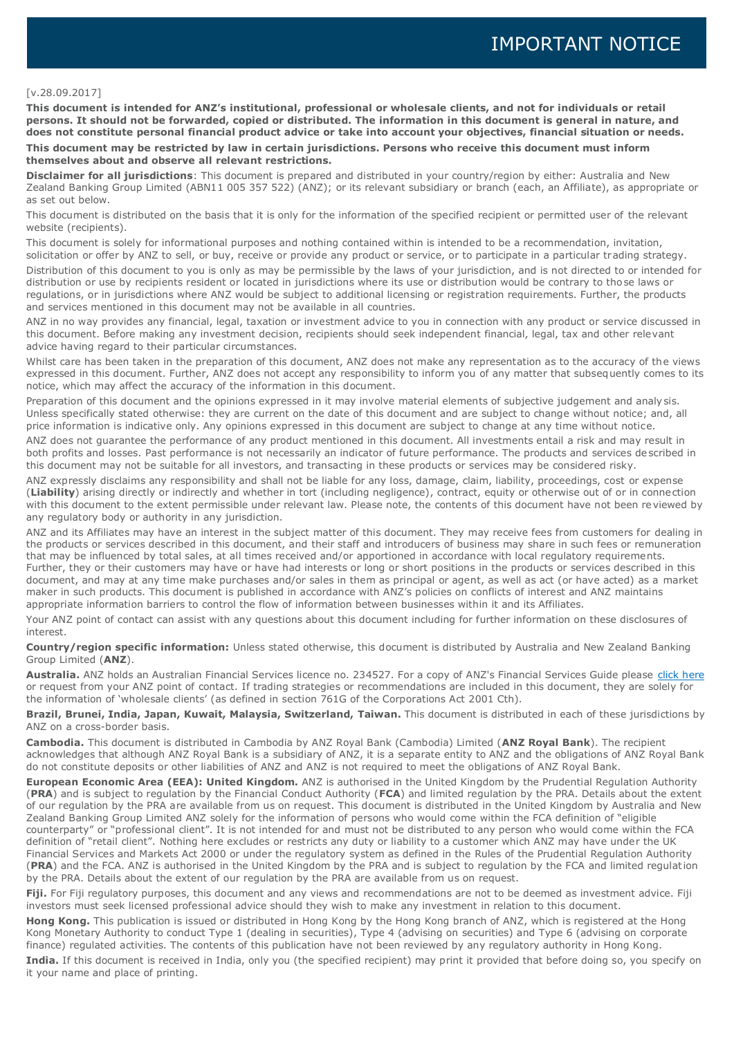#### [v.28.09.2017]

**This document is intended for ANZ's institutional, professional or wholesale clients, and not for individuals or retail persons. It should not be forwarded, copied or distributed. The information in this document is general in nature, and does not constitute personal financial product advice or take into account your objectives, financial situation or needs.** 

**This document may be restricted by law in certain jurisdictions. Persons who receive this document must inform themselves about and observe all relevant restrictions.**

**Disclaimer for all jurisdictions**: This document is prepared and distributed in your country/region by either: Australia and New Zealand Banking Group Limited (ABN11 005 357 522) (ANZ); or its relevant subsidiary or branch (each, an Affiliate), as appropriate or as set out below.

This document is distributed on the basis that it is only for the information of the specified recipient or permitted user of the relevant website (recipients).

This document is solely for informational purposes and nothing contained within is intended to be a recommendation, invitation, solicitation or offer by ANZ to sell, or buy, receive or provide any product or service, or to participate in a particular trading strategy.

Distribution of this document to you is only as may be permissible by the laws of your jurisdiction, and is not directed to or intended for distribution or use by recipients resident or located in jurisdictions where its use or distribution would be contrary to those laws or regulations, or in jurisdictions where ANZ would be subject to additional licensing or registration requirements. Further, the products and services mentioned in this document may not be available in all countries.

ANZ in no way provides any financial, legal, taxation or investment advice to you in connection with any product or service discussed in this document. Before making any investment decision, recipients should seek independent financial, legal, tax and other relevant advice having regard to their particular circumstances.

Whilst care has been taken in the preparation of this document, ANZ does not make any representation as to the accuracy of the views expressed in this document. Further, ANZ does not accept any responsibility to inform you of any matter that subsequently comes to its notice, which may affect the accuracy of the information in this document.

Preparation of this document and the opinions expressed in it may involve material elements of subjective judgement and analysis. Unless specifically stated otherwise: they are current on the date of this document and are subject to change without notice; and, all price information is indicative only. Any opinions expressed in this document are subject to change at any time without notice.

ANZ does not guarantee the performance of any product mentioned in this document. All investments entail a risk and may result in both profits and losses. Past performance is not necessarily an indicator of future performance. The products and services de scribed in this document may not be suitable for all investors, and transacting in these products or services may be considered risky.

ANZ expressly disclaims any responsibility and shall not be liable for any loss, damage, claim, liability, proceedings, cost or expense (**Liability**) arising directly or indirectly and whether in tort (including negligence), contract, equity or otherwise out of or in connection with this document to the extent permissible under relevant law. Please note, the contents of this document have not been reviewed by any regulatory body or authority in any jurisdiction.

ANZ and its Affiliates may have an interest in the subject matter of this document. They may receive fees from customers for dealing in the products or services described in this document, and their staff and introducers of business may share in such fees or remuneration that may be influenced by total sales, at all times received and/or apportioned in accordance with local regulatory requirements. Further, they or their customers may have or have had interests or long or short positions in the products or services described in this document, and may at any time make purchases and/or sales in them as principal or agent, as well as act (or have acted) as a market maker in such products. This document is published in accordance with ANZ's policies on conflicts of interest and ANZ maintains appropriate information barriers to control the flow of information between businesses within it and its Affiliates.

Your ANZ point of contact can assist with any questions about this document including for further information on these disclosures of interest.

**Country/region specific information:** Unless stated otherwise, this document is distributed by Australia and New Zealand Banking Group Limited (**ANZ**).

**Australia.** ANZ holds an Australian Financial Services licence no. 234527. For a copy of ANZ's Financial Services Guide please [click here](http://www.anz.com/documents/AU/aboutANZ/FinancialServicesGuide.pdf) or request from your ANZ point of contact. If trading strategies or recommendations are included in this document, they are solely for the information of 'wholesale clients' (as defined in section 761G of the Corporations Act 2001 Cth).

**Brazil, Brunei, India, Japan, Kuwait, Malaysia, Switzerland, Taiwan.** This document is distributed in each of these jurisdictions by ANZ on a cross-border basis.

**Cambodia.** This document is distributed in Cambodia by ANZ Royal Bank (Cambodia) Limited (**ANZ Royal Bank**). The recipient acknowledges that although ANZ Royal Bank is a subsidiary of ANZ, it is a separate entity to ANZ and the obligations of ANZ Royal Bank do not constitute deposits or other liabilities of ANZ and ANZ is not required to meet the obligations of ANZ Royal Bank.

**European Economic Area (EEA): United Kingdom.** ANZ is authorised in the United Kingdom by the Prudential Regulation Authority (**PRA**) and is subject to regulation by the Financial Conduct Authority (**FCA**) and limited regulation by the PRA. Details about the extent of our regulation by the PRA are available from us on request. This document is distributed in the United Kingdom by Australia and New Zealand Banking Group Limited ANZ solely for the information of persons who would come within the FCA definition of "eligible counterparty" or "professional client". It is not intended for and must not be distributed to any person who would come within the FCA definition of "retail client". Nothing here excludes or restricts any duty or liability to a customer which ANZ may have under the UK Financial Services and Markets Act 2000 or under the regulatory system as defined in the Rules of the Prudential Regulation Authority (**PRA**) and the FCA. ANZ is authorised in the United Kingdom by the PRA and is subject to regulation by the FCA and limited regulation by the PRA. Details about the extent of our regulation by the PRA are available from us on request.

**Fiji.** For Fiji regulatory purposes, this document and any views and recommendations are not to be deemed as investment advice. Fiji investors must seek licensed professional advice should they wish to make any investment in relation to this document.

**Hong Kong.** This publication is issued or distributed in Hong Kong by the Hong Kong branch of ANZ, which is registered at the Hong Kong Monetary Authority to conduct Type 1 (dealing in securities), Type 4 (advising on securities) and Type 6 (advising on corporate finance) regulated activities. The contents of this publication have not been reviewed by any regulatory authority in Hong Kong. **India.** If this document is received in India, only you (the specified recipient) may print it provided that before doing so, you specify on it your name and place of printing.